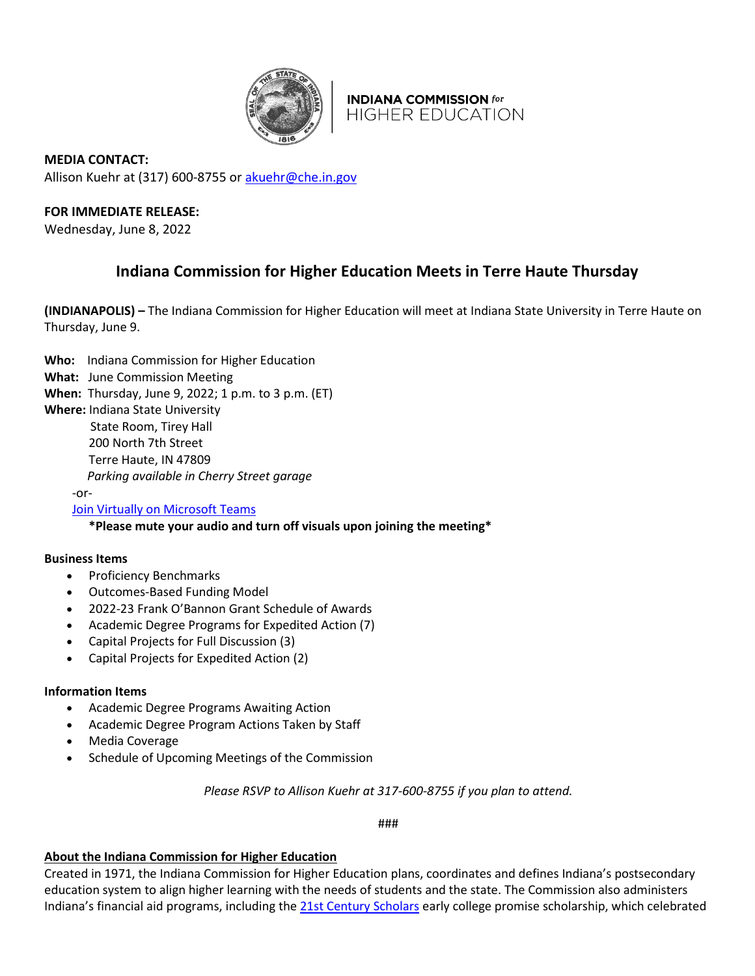

**INDIANA COMMISSION for HIGHER EDUCATION** 

**MEDIA CONTACT:**  Allison Kuehr at (317) 600-8755 or [akuehr@che.in.gov](mailto:akuehr@che.in.gov)

# **FOR IMMEDIATE RELEASE:**

Wednesday, June 8, 2022

# **Indiana Commission for Higher Education Meets in Terre Haute Thursday**

**(INDIANAPOLIS) –** The Indiana Commission for Higher Education will meet at Indiana State University in Terre Haute on Thursday, June 9.

- **Who:** Indiana Commission for Higher Education
- **What:** June Commission Meeting
- **When:** Thursday, June 9, 2022; 1 p.m. to 3 p.m. (ET)
- **Where:** Indiana State University

State Room, Tirey Hall

200 North 7th Street

Terre Haute, IN 47809

*Parking available in Cherry Street garage*

-or-

[Join Virtually on Microsoft Teams](https://teams.microsoft.com/l/meetup-join/19%3ameeting_NTBhN2E5ZWMtZGIwOS00OGQ4LTllOTEtZGRiZGRlM2RiYmIy%40thread.v2/0?context=%7b%22Tid%22%3a%222199bfba-a409-4f13-b0c4-18b45933d88d%22%2c%22Oid%22%3a%2274cd09be-f391-4146-8166-1a7f0bd40140%22%7d)

**\*Please mute your audio and turn off visuals upon joining the meeting\***

### **Business Items**

- Proficiency Benchmarks
- Outcomes-Based Funding Model
- 2022-23 Frank O'Bannon Grant Schedule of Awards
- Academic Degree Programs for Expedited Action (7)
- Capital Projects for Full Discussion (3)
- Capital Projects for Expedited Action (2)

### **Information Items**

- Academic Degree Programs Awaiting Action
- Academic Degree Program Actions Taken by Staff
- Media Coverage
- Schedule of Upcoming Meetings of the Commission

*Please RSVP to Allison Kuehr at 317-600-8755 if you plan to attend.*

###

# **About the Indiana Commission for Higher Education**

Created in 1971, the Indiana Commission for Higher Education plans, coordinates and defines Indiana's postsecondary education system to align higher learning with the needs of students and the state. The Commission also administers Indiana's financial aid programs, including the [21st Century Scholars](https://learnmoreindiana.org/scholars/) early college promise scholarship, which celebrated